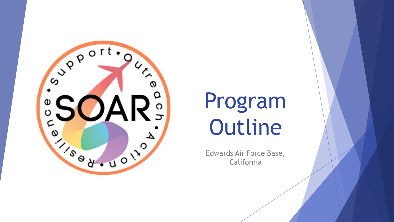

# Program Outline

Edwards Air Force Base, California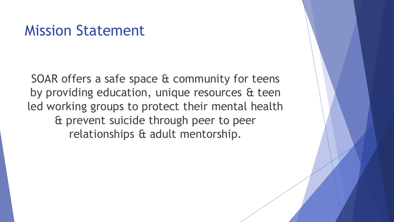### Mission Statement

SOAR offers a safe space & community for teens by providing education, unique resources & teen led working groups to protect their mental health & prevent suicide through peer to peer relationships & adult mentorship.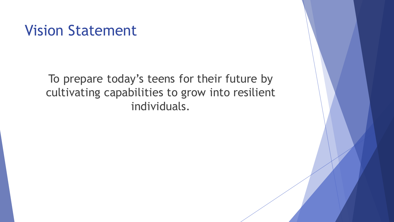### Vision Statement

To prepare today's teens for their future by cultivating capabilities to grow into resilient individuals.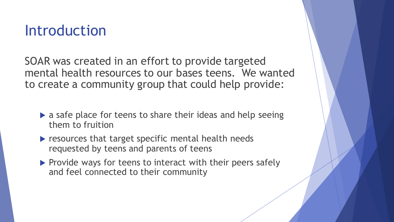### Introduction

SOAR was created in an effort to provide targeted mental health resources to our bases teens. We wanted to create a community group that could help provide:

- $\triangleright$  a safe place for teens to share their ideas and help seeing them to fruition
- $\blacktriangleright$  resources that target specific mental health needs requested by teens and parents of teens
- $\blacktriangleright$  Provide ways for teens to interact with their peers safely and feel connected to their community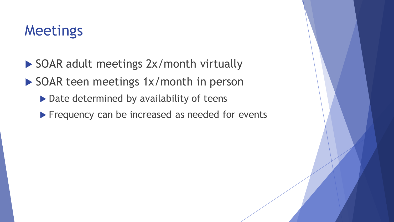## Meetings

- SOAR adult meetings 2x/month virtually
- SOAR teen meetings 1x/month in person
	- $\triangleright$  Date determined by availability of teens
	- Frequency can be increased as needed for events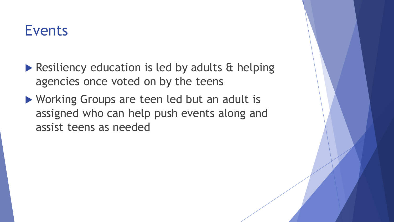### Events

- Resiliency education is led by adults & helping agencies once voted on by the teens
- ▶ Working Groups are teen led but an adult is assigned who can help push events along and assist teens as needed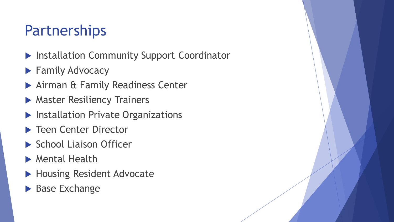# Partnerships

- **Installation Community Support Coordinator**
- **Family Advocacy**
- Airman & Family Readiness Center
- **Master Resiliency Trainers**
- **Installation Private Organizations**
- ▶ Teen Center Director
- School Liaison Officer
- Mental Health
- ▶ Housing Resident Advocate
- **Base Exchange**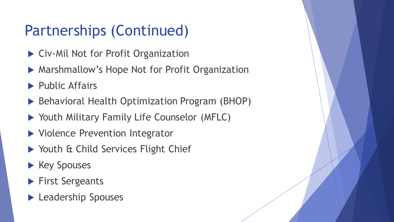# Partnerships (Continued)

- ▶ Civ-Mil Not for Profit Organization
- ▶ Marshmallow's Hope Not for Profit Organization
- $\blacktriangleright$  Public Affairs
- ▶ Behavioral Health Optimization Program (BHOP)
- Youth Military Family Life Counselor (MFLC)
- ▶ Violence Prevention Integrator
- ▶ Youth & Child Services Flight Chief
- $\blacktriangleright$  Key Spouses
- **First Sergeants**
- **Leadership Spouses**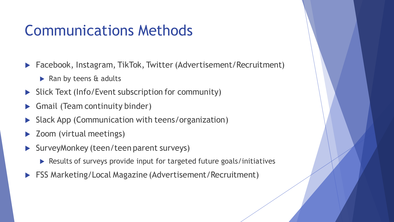## Communications Methods

- ▶ Facebook, Instagram, TikTok, Twitter (Advertisement/Recruitment)
	- $\triangleright$  Ran by teens & adults
- Slick Text (Info/Event subscription for community)
- ▶ Gmail (Team continuity binder)
- Slack App (Communication with teens/organization)
- Zoom (virtual meetings)
- SurveyMonkey (teen/teen parent surveys)
	- Results of surveys provide input for targeted future goals/initiatives
- FSS Marketing/Local Magazine (Advertisement/Recruitment)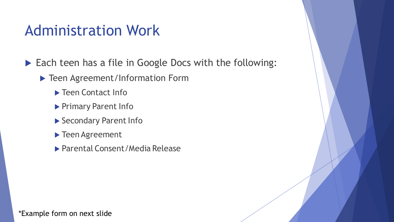### Administration Work

Each teen has a file in Google Docs with the following:

- ▶ Teen Agreement/Information Form
	- ▶ Teen Contact Info
	- Primary Parent Info
	- Secondary Parent Info
	- ▶ Teen Agreement
	- ▶ Parental Consent/Media Release

\*Example form on next slide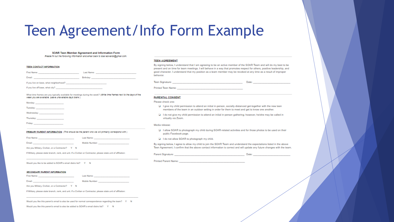# Teen Agreement/Info Form Example

### SOAR Teen Member Agreement and Information Form Please fill out the following information and email back to soar.edwards@gmail.com.

### **TEEN CONTACT INFORMATION**

| First Name: The Commission of the Commission of the Commission                                                 | Last Name: The Company of the Company of the Company of the Company of the Company of the Company of the Company of the Company of the Company of the Company of the Company of the Company of the Company of the Company of t |
|----------------------------------------------------------------------------------------------------------------|--------------------------------------------------------------------------------------------------------------------------------------------------------------------------------------------------------------------------------|
| Email:                                                                                                         | Birthday: and a state of the control of the state of the state of the state of the state of the state of the state of the state of the state of the state of the state of the state of the state of the state of the state of  |
| If you live on base, what neighborhood?                                                                        |                                                                                                                                                                                                                                |
| If you live off base, what city? The state of the state of the state of the state of the state of the state of |                                                                                                                                                                                                                                |

### What time frames are you typically available for meetings during the week? (Write time frames next to the days of the week you are available. Leave unavailable days blank.)

| Monday: ________________________                                                                              |  |
|---------------------------------------------------------------------------------------------------------------|--|
|                                                                                                               |  |
| Wednesday: New York Products and Products                                                                     |  |
| Thursday: 1980 - 1991 - 1992 - 1993 - 1994 - 1994 - 1994 - 1994 - 1994 - 1994 - 1994 - 1994 - 1994 - 1994 - 1 |  |
| Friday:                                                                                                       |  |

### PRIMARY PARENT INFORMATION (This should be the parent who we will primarily correspond with.)

First Name: The Commission of the Commission of Last Name: The Commission of the Commission of the Commission of the Commission of the Commission of the Commission of the Commission of the Commission of the Commission of t

Email:

Mobile Number: No San Antonio Mobile Number:

Are you Military, Civilian, or a Contractor? Y N

If Military, please state branch, rank, and unit. If a Civilian or Contractor, please state unit of affiliation:

Would you like to be added to SOAR's email distro list? Y N

### **SECONDARY PARENT INFORMATION**

First Name: Dealer and the contract of the contract of the contract of the contract of the contract of the contract of the contract of the contract of the contract of the contract of the contract of the contract of the con Last Name: The Commission of the Commission of the Commission

Mobile Number: \_\_\_\_\_\_\_\_\_\_\_\_\_\_\_\_\_ Email:

Are you Military, Civilian, or a Contractor? Y N

If Military, please state branch, rank, and unit. If a Civilian or Contractor, please state unit of affiliation:

Would you like this parent's email to also be used for normal correspondence regarding the team? Y N

Would you like this parent's email to also be added to SOAR's email distro list? Y N

### **TEEN AGREEMENT**

By signing below. I understand that I am agreeing to be an active member of the SOAR Team and will do my best to be present and on time for team meetings. I will behave in a way that promotes respect for others, positive leadership, and good character. I understand that my position as a team member may be revoked at any time as a result of improper behavior.

**Teen Signature: Example 2018 - Product Contract Contract Contract Contract Contract Contract Contract Contract Contract Contract Contract Contract Contract Contract Contract Contract Contract Contract Contract Contract Co** 

Printed Teen Name: The Contract of the Contract of the Contract of the Contract of the Contract of the Contract of the Contract of the Contract of the Contract of the Contract of the Contract of the Contract of the Contrac

### **PARENTAL CONSENT**

### Please check one:

- D I give my child permission to attend an initial in-person, socially-distanced get-together with the new teen members of the team in an outdoor setting in order for them to meet and get to know one another.
- D I do not give my child permission to attend an initial in-person gathering; however, he/she may be called in virtually via Zoom.

### Media release:

- D I allow SOAR to photograph my child during SOAR-related activities and for those photos to be used on their public Facebook page.
- D I do not allow SOAR to photograph my child.

By signing below, I agree to allow my child to join the SOAR Team and understand the expectations listed in the above Teen Agreement. I confirm that the above contact information is correct and will update any future changes with the team.

| Parent Signature: |  |
|-------------------|--|
|                   |  |

Printed Parent Name: The Contract of the Contract of the Contract of the Contract of the Contract of the Contract of the Contract of the Contract of the Contract of the Contract of the Contract of the Contract of the Contr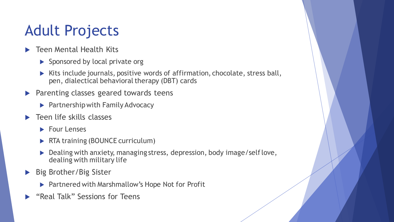# Adult Projects

- **Teen Mental Health Kits** 
	- $\blacktriangleright$  Sponsored by local private org
	- ▶ Kits include journals, positive words of affirmation, chocolate, stress ball, pen, dialectical behavioral therapy (DBT) cards
- **Parenting classes geared towards teens** 
	- $\blacktriangleright$  Partnership with Family Advocacy
- Teen life skills classes
	- $\blacktriangleright$  Four Lenses
	- ▶ RTA training (BOUNCE curriculum)
	- Dealing with anxiety, managing stress, depression, body image/self love, dealing with military life
- ▶ Big Brother/Big Sister
	- ▶ Partnered with Marshmallow's Hope Not for Profit
- **EX "Real Talk" Sessions for Teens**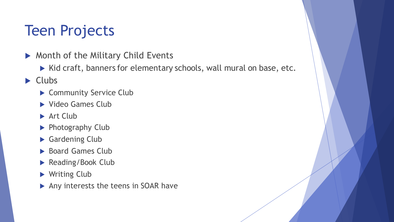# Teen Projects

- ▶ Month of the Military Child Events
	- $\triangleright$  Kid craft, banners for elementary schools, wall mural on base, etc.
- $\blacktriangleright$  Clubs
	- ▶ Community Service Club
	- ▶ Video Games Club
	- Art Club
	- ▶ Photography Club
	- Gardening Club
	- Board Games Club
	- Reading/Book Club
	- ▶ Writing Club
	- Any interests the teens in SOAR have